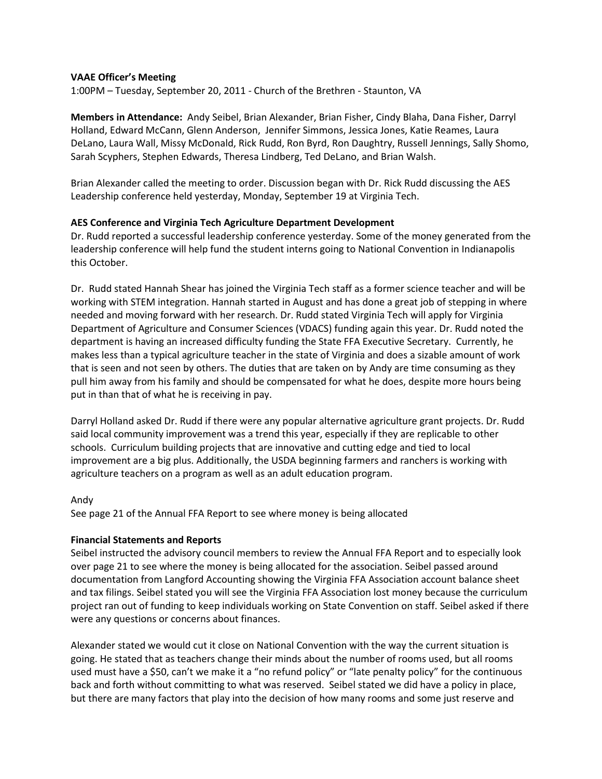# **VAAE Officer's Meeting**

1:00PM – Tuesday, September 20, 2011 - Church of the Brethren - Staunton, VA

**Members in Attendance:** Andy Seibel, Brian Alexander, Brian Fisher, Cindy Blaha, Dana Fisher, Darryl Holland, Edward McCann, Glenn Anderson, Jennifer Simmons, Jessica Jones, Katie Reames, Laura DeLano, Laura Wall, Missy McDonald, Rick Rudd, Ron Byrd, Ron Daughtry, Russell Jennings, Sally Shomo, Sarah Scyphers, Stephen Edwards, Theresa Lindberg, Ted DeLano, and Brian Walsh.

Brian Alexander called the meeting to order. Discussion began with Dr. Rick Rudd discussing the AES Leadership conference held yesterday, Monday, September 19 at Virginia Tech.

### **AES Conference and Virginia Tech Agriculture Department Development**

Dr. Rudd reported a successful leadership conference yesterday. Some of the money generated from the leadership conference will help fund the student interns going to National Convention in Indianapolis this October.

Dr. Rudd stated Hannah Shear has joined the Virginia Tech staff as a former science teacher and will be working with STEM integration. Hannah started in August and has done a great job of stepping in where needed and moving forward with her research. Dr. Rudd stated Virginia Tech will apply for Virginia Department of Agriculture and Consumer Sciences (VDACS) funding again this year. Dr. Rudd noted the department is having an increased difficulty funding the State FFA Executive Secretary. Currently, he makes less than a typical agriculture teacher in the state of Virginia and does a sizable amount of work that is seen and not seen by others. The duties that are taken on by Andy are time consuming as they pull him away from his family and should be compensated for what he does, despite more hours being put in than that of what he is receiving in pay.

Darryl Holland asked Dr. Rudd if there were any popular alternative agriculture grant projects. Dr. Rudd said local community improvement was a trend this year, especially if they are replicable to other schools. Curriculum building projects that are innovative and cutting edge and tied to local improvement are a big plus. Additionally, the USDA beginning farmers and ranchers is working with agriculture teachers on a program as well as an adult education program.

### Andy

See page 21 of the Annual FFA Report to see where money is being allocated

### **Financial Statements and Reports**

Seibel instructed the advisory council members to review the Annual FFA Report and to especially look over page 21 to see where the money is being allocated for the association. Seibel passed around documentation from Langford Accounting showing the Virginia FFA Association account balance sheet and tax filings. Seibel stated you will see the Virginia FFA Association lost money because the curriculum project ran out of funding to keep individuals working on State Convention on staff. Seibel asked if there were any questions or concerns about finances.

Alexander stated we would cut it close on National Convention with the way the current situation is going. He stated that as teachers change their minds about the number of rooms used, but all rooms used must have a \$50, can't we make it a "no refund policy" or "late penalty policy" for the continuous back and forth without committing to what was reserved. Seibel stated we did have a policy in place, but there are many factors that play into the decision of how many rooms and some just reserve and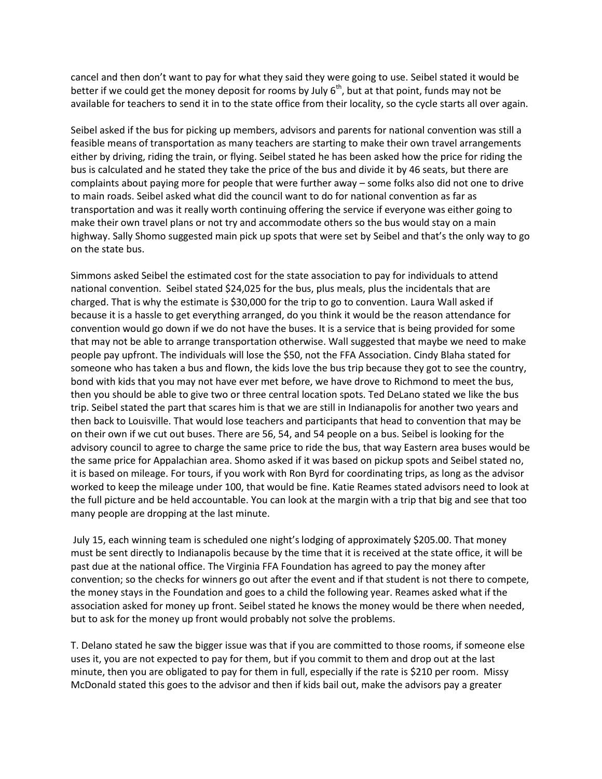cancel and then don't want to pay for what they said they were going to use. Seibel stated it would be better if we could get the money deposit for rooms by July  $6<sup>th</sup>$ , but at that point, funds may not be available for teachers to send it in to the state office from their locality, so the cycle starts all over again.

Seibel asked if the bus for picking up members, advisors and parents for national convention was still a feasible means of transportation as many teachers are starting to make their own travel arrangements either by driving, riding the train, or flying. Seibel stated he has been asked how the price for riding the bus is calculated and he stated they take the price of the bus and divide it by 46 seats, but there are complaints about paying more for people that were further away – some folks also did not one to drive to main roads. Seibel asked what did the council want to do for national convention as far as transportation and was it really worth continuing offering the service if everyone was either going to make their own travel plans or not try and accommodate others so the bus would stay on a main highway. Sally Shomo suggested main pick up spots that were set by Seibel and that's the only way to go on the state bus.

Simmons asked Seibel the estimated cost for the state association to pay for individuals to attend national convention. Seibel stated \$24,025 for the bus, plus meals, plus the incidentals that are charged. That is why the estimate is \$30,000 for the trip to go to convention. Laura Wall asked if because it is a hassle to get everything arranged, do you think it would be the reason attendance for convention would go down if we do not have the buses. It is a service that is being provided for some that may not be able to arrange transportation otherwise. Wall suggested that maybe we need to make people pay upfront. The individuals will lose the \$50, not the FFA Association. Cindy Blaha stated for someone who has taken a bus and flown, the kids love the bus trip because they got to see the country, bond with kids that you may not have ever met before, we have drove to Richmond to meet the bus, then you should be able to give two or three central location spots. Ted DeLano stated we like the bus trip. Seibel stated the part that scares him is that we are still in Indianapolis for another two years and then back to Louisville. That would lose teachers and participants that head to convention that may be on their own if we cut out buses. There are 56, 54, and 54 people on a bus. Seibel is looking for the advisory council to agree to charge the same price to ride the bus, that way Eastern area buses would be the same price for Appalachian area. Shomo asked if it was based on pickup spots and Seibel stated no, it is based on mileage. For tours, if you work with Ron Byrd for coordinating trips, as long as the advisor worked to keep the mileage under 100, that would be fine. Katie Reames stated advisors need to look at the full picture and be held accountable. You can look at the margin with a trip that big and see that too many people are dropping at the last minute.

July 15, each winning team is scheduled one night's lodging of approximately \$205.00. That money must be sent directly to Indianapolis because by the time that it is received at the state office, it will be past due at the national office. The Virginia FFA Foundation has agreed to pay the money after convention; so the checks for winners go out after the event and if that student is not there to compete, the money stays in the Foundation and goes to a child the following year. Reames asked what if the association asked for money up front. Seibel stated he knows the money would be there when needed, but to ask for the money up front would probably not solve the problems.

T. Delano stated he saw the bigger issue was that if you are committed to those rooms, if someone else uses it, you are not expected to pay for them, but if you commit to them and drop out at the last minute, then you are obligated to pay for them in full, especially if the rate is \$210 per room. Missy McDonald stated this goes to the advisor and then if kids bail out, make the advisors pay a greater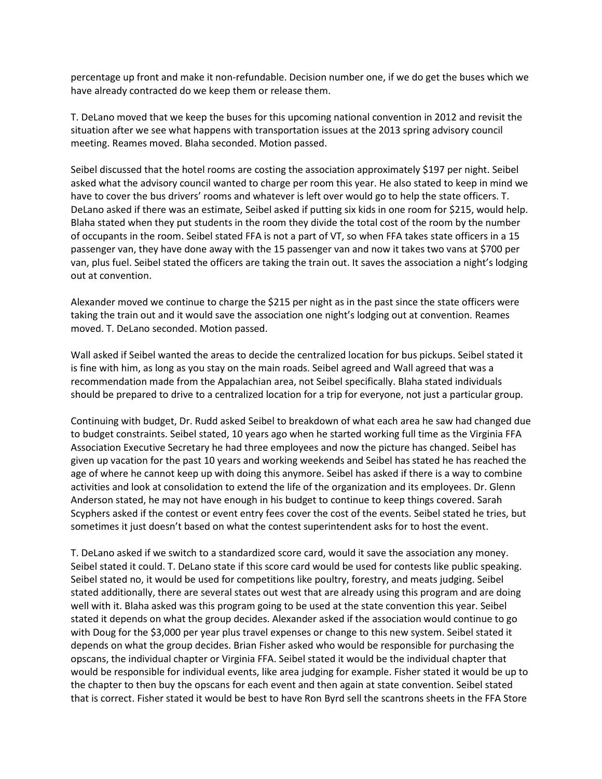percentage up front and make it non-refundable. Decision number one, if we do get the buses which we have already contracted do we keep them or release them.

T. DeLano moved that we keep the buses for this upcoming national convention in 2012 and revisit the situation after we see what happens with transportation issues at the 2013 spring advisory council meeting. Reames moved. Blaha seconded. Motion passed.

Seibel discussed that the hotel rooms are costing the association approximately \$197 per night. Seibel asked what the advisory council wanted to charge per room this year. He also stated to keep in mind we have to cover the bus drivers' rooms and whatever is left over would go to help the state officers. T. DeLano asked if there was an estimate, Seibel asked if putting six kids in one room for \$215, would help. Blaha stated when they put students in the room they divide the total cost of the room by the number of occupants in the room. Seibel stated FFA is not a part of VT, so when FFA takes state officers in a 15 passenger van, they have done away with the 15 passenger van and now it takes two vans at \$700 per van, plus fuel. Seibel stated the officers are taking the train out. It saves the association a night's lodging out at convention.

Alexander moved we continue to charge the \$215 per night as in the past since the state officers were taking the train out and it would save the association one night's lodging out at convention. Reames moved. T. DeLano seconded. Motion passed.

Wall asked if Seibel wanted the areas to decide the centralized location for bus pickups. Seibel stated it is fine with him, as long as you stay on the main roads. Seibel agreed and Wall agreed that was a recommendation made from the Appalachian area, not Seibel specifically. Blaha stated individuals should be prepared to drive to a centralized location for a trip for everyone, not just a particular group.

Continuing with budget, Dr. Rudd asked Seibel to breakdown of what each area he saw had changed due to budget constraints. Seibel stated, 10 years ago when he started working full time as the Virginia FFA Association Executive Secretary he had three employees and now the picture has changed. Seibel has given up vacation for the past 10 years and working weekends and Seibel has stated he has reached the age of where he cannot keep up with doing this anymore. Seibel has asked if there is a way to combine activities and look at consolidation to extend the life of the organization and its employees. Dr. Glenn Anderson stated, he may not have enough in his budget to continue to keep things covered. Sarah Scyphers asked if the contest or event entry fees cover the cost of the events. Seibel stated he tries, but sometimes it just doesn't based on what the contest superintendent asks for to host the event.

T. DeLano asked if we switch to a standardized score card, would it save the association any money. Seibel stated it could. T. DeLano state if this score card would be used for contests like public speaking. Seibel stated no, it would be used for competitions like poultry, forestry, and meats judging. Seibel stated additionally, there are several states out west that are already using this program and are doing well with it. Blaha asked was this program going to be used at the state convention this year. Seibel stated it depends on what the group decides. Alexander asked if the association would continue to go with Doug for the \$3,000 per year plus travel expenses or change to this new system. Seibel stated it depends on what the group decides. Brian Fisher asked who would be responsible for purchasing the opscans, the individual chapter or Virginia FFA. Seibel stated it would be the individual chapter that would be responsible for individual events, like area judging for example. Fisher stated it would be up to the chapter to then buy the opscans for each event and then again at state convention. Seibel stated that is correct. Fisher stated it would be best to have Ron Byrd sell the scantrons sheets in the FFA Store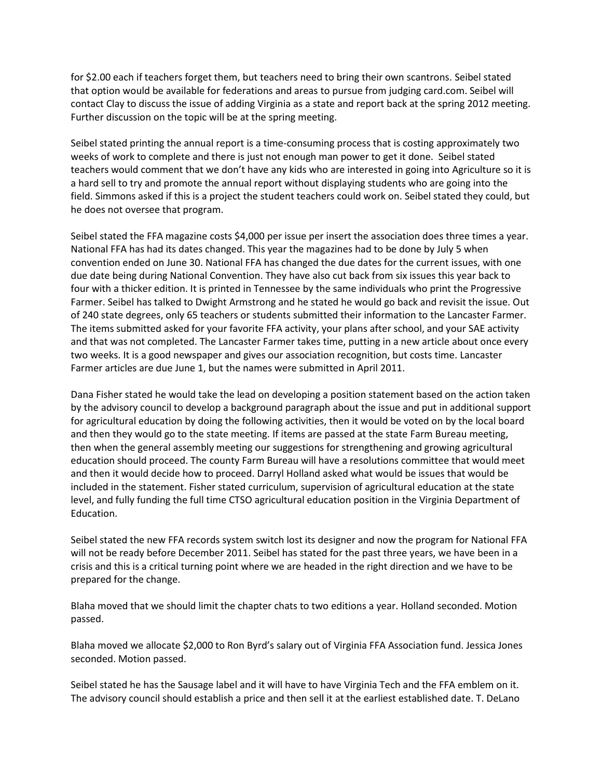for \$2.00 each if teachers forget them, but teachers need to bring their own scantrons. Seibel stated that option would be available for federations and areas to pursue from judging card.com. Seibel will contact Clay to discuss the issue of adding Virginia as a state and report back at the spring 2012 meeting. Further discussion on the topic will be at the spring meeting.

Seibel stated printing the annual report is a time-consuming process that is costing approximately two weeks of work to complete and there is just not enough man power to get it done. Seibel stated teachers would comment that we don't have any kids who are interested in going into Agriculture so it is a hard sell to try and promote the annual report without displaying students who are going into the field. Simmons asked if this is a project the student teachers could work on. Seibel stated they could, but he does not oversee that program.

Seibel stated the FFA magazine costs \$4,000 per issue per insert the association does three times a year. National FFA has had its dates changed. This year the magazines had to be done by July 5 when convention ended on June 30. National FFA has changed the due dates for the current issues, with one due date being during National Convention. They have also cut back from six issues this year back to four with a thicker edition. It is printed in Tennessee by the same individuals who print the Progressive Farmer. Seibel has talked to Dwight Armstrong and he stated he would go back and revisit the issue. Out of 240 state degrees, only 65 teachers or students submitted their information to the Lancaster Farmer. The items submitted asked for your favorite FFA activity, your plans after school, and your SAE activity and that was not completed. The Lancaster Farmer takes time, putting in a new article about once every two weeks. It is a good newspaper and gives our association recognition, but costs time. Lancaster Farmer articles are due June 1, but the names were submitted in April 2011.

Dana Fisher stated he would take the lead on developing a position statement based on the action taken by the advisory council to develop a background paragraph about the issue and put in additional support for agricultural education by doing the following activities, then it would be voted on by the local board and then they would go to the state meeting. If items are passed at the state Farm Bureau meeting, then when the general assembly meeting our suggestions for strengthening and growing agricultural education should proceed. The county Farm Bureau will have a resolutions committee that would meet and then it would decide how to proceed. Darryl Holland asked what would be issues that would be included in the statement. Fisher stated curriculum, supervision of agricultural education at the state level, and fully funding the full time CTSO agricultural education position in the Virginia Department of Education.

Seibel stated the new FFA records system switch lost its designer and now the program for National FFA will not be ready before December 2011. Seibel has stated for the past three years, we have been in a crisis and this is a critical turning point where we are headed in the right direction and we have to be prepared for the change.

Blaha moved that we should limit the chapter chats to two editions a year. Holland seconded. Motion passed.

Blaha moved we allocate \$2,000 to Ron Byrd's salary out of Virginia FFA Association fund. Jessica Jones seconded. Motion passed.

Seibel stated he has the Sausage label and it will have to have Virginia Tech and the FFA emblem on it. The advisory council should establish a price and then sell it at the earliest established date. T. DeLano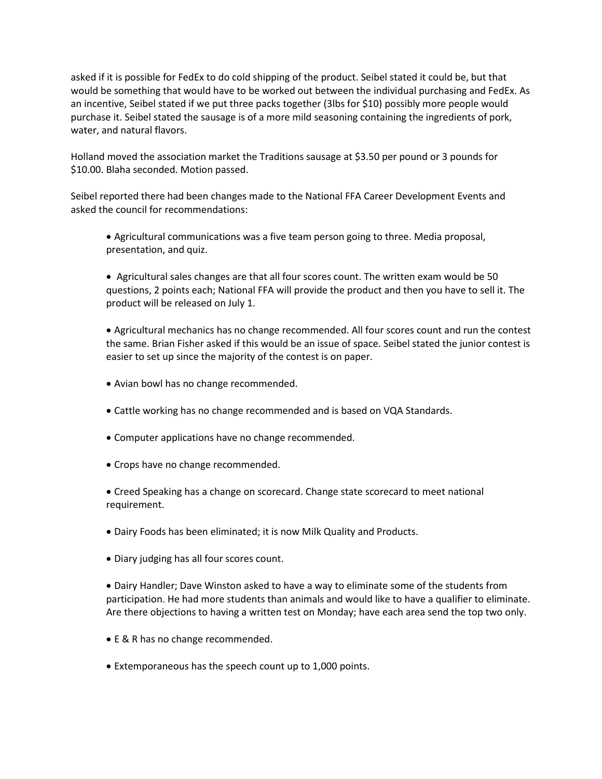asked if it is possible for FedEx to do cold shipping of the product. Seibel stated it could be, but that would be something that would have to be worked out between the individual purchasing and FedEx. As an incentive, Seibel stated if we put three packs together (3lbs for \$10) possibly more people would purchase it. Seibel stated the sausage is of a more mild seasoning containing the ingredients of pork, water, and natural flavors.

Holland moved the association market the Traditions sausage at \$3.50 per pound or 3 pounds for \$10.00. Blaha seconded. Motion passed.

Seibel reported there had been changes made to the National FFA Career Development Events and asked the council for recommendations:

 Agricultural communications was a five team person going to three. Media proposal, presentation, and quiz.

 Agricultural sales changes are that all four scores count. The written exam would be 50 questions, 2 points each; National FFA will provide the product and then you have to sell it. The product will be released on July 1.

 Agricultural mechanics has no change recommended. All four scores count and run the contest the same. Brian Fisher asked if this would be an issue of space. Seibel stated the junior contest is easier to set up since the majority of the contest is on paper.

- Avian bowl has no change recommended.
- Cattle working has no change recommended and is based on VQA Standards.
- Computer applications have no change recommended.
- Crops have no change recommended.

 Creed Speaking has a change on scorecard. Change state scorecard to meet national requirement.

- Dairy Foods has been eliminated; it is now Milk Quality and Products.
- Diary judging has all four scores count.

 Dairy Handler; Dave Winston asked to have a way to eliminate some of the students from participation. He had more students than animals and would like to have a qualifier to eliminate. Are there objections to having a written test on Monday; have each area send the top two only.

- E & R has no change recommended.
- Extemporaneous has the speech count up to 1,000 points.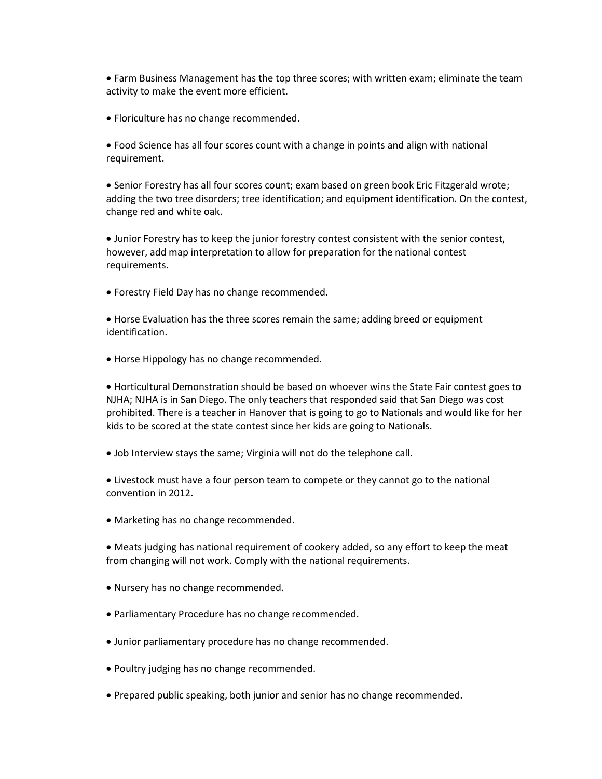Farm Business Management has the top three scores; with written exam; eliminate the team activity to make the event more efficient.

Floriculture has no change recommended.

 Food Science has all four scores count with a change in points and align with national requirement.

• Senior Forestry has all four scores count; exam based on green book Eric Fitzgerald wrote; adding the two tree disorders; tree identification; and equipment identification. On the contest, change red and white oak.

 Junior Forestry has to keep the junior forestry contest consistent with the senior contest, however, add map interpretation to allow for preparation for the national contest requirements.

Forestry Field Day has no change recommended.

 Horse Evaluation has the three scores remain the same; adding breed or equipment identification.

• Horse Hippology has no change recommended.

 Horticultural Demonstration should be based on whoever wins the State Fair contest goes to NJHA; NJHA is in San Diego. The only teachers that responded said that San Diego was cost prohibited. There is a teacher in Hanover that is going to go to Nationals and would like for her kids to be scored at the state contest since her kids are going to Nationals.

Job Interview stays the same; Virginia will not do the telephone call.

 Livestock must have a four person team to compete or they cannot go to the national convention in 2012.

Marketing has no change recommended.

 Meats judging has national requirement of cookery added, so any effort to keep the meat from changing will not work. Comply with the national requirements.

- Nursery has no change recommended.
- Parliamentary Procedure has no change recommended.
- Junior parliamentary procedure has no change recommended.
- Poultry judging has no change recommended.
- Prepared public speaking, both junior and senior has no change recommended.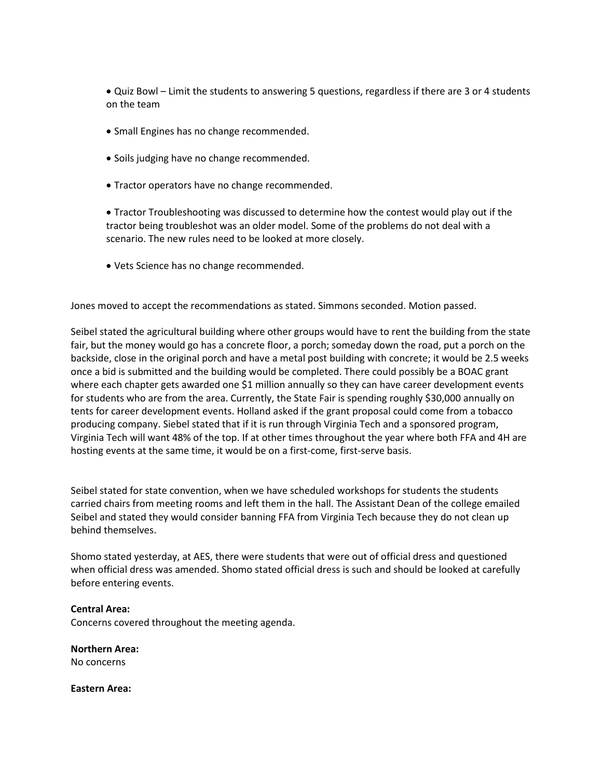Quiz Bowl – Limit the students to answering 5 questions, regardless if there are 3 or 4 students on the team

- Small Engines has no change recommended.
- Soils judging have no change recommended.
- Tractor operators have no change recommended.

 Tractor Troubleshooting was discussed to determine how the contest would play out if the tractor being troubleshot was an older model. Some of the problems do not deal with a scenario. The new rules need to be looked at more closely.

Vets Science has no change recommended.

Jones moved to accept the recommendations as stated. Simmons seconded. Motion passed.

Seibel stated the agricultural building where other groups would have to rent the building from the state fair, but the money would go has a concrete floor, a porch; someday down the road, put a porch on the backside, close in the original porch and have a metal post building with concrete; it would be 2.5 weeks once a bid is submitted and the building would be completed. There could possibly be a BOAC grant where each chapter gets awarded one \$1 million annually so they can have career development events for students who are from the area. Currently, the State Fair is spending roughly \$30,000 annually on tents for career development events. Holland asked if the grant proposal could come from a tobacco producing company. Siebel stated that if it is run through Virginia Tech and a sponsored program, Virginia Tech will want 48% of the top. If at other times throughout the year where both FFA and 4H are hosting events at the same time, it would be on a first-come, first-serve basis.

Seibel stated for state convention, when we have scheduled workshops for students the students carried chairs from meeting rooms and left them in the hall. The Assistant Dean of the college emailed Seibel and stated they would consider banning FFA from Virginia Tech because they do not clean up behind themselves.

Shomo stated yesterday, at AES, there were students that were out of official dress and questioned when official dress was amended. Shomo stated official dress is such and should be looked at carefully before entering events.

### **Central Area:**

Concerns covered throughout the meeting agenda.

**Northern Area:** No concerns

**Eastern Area:**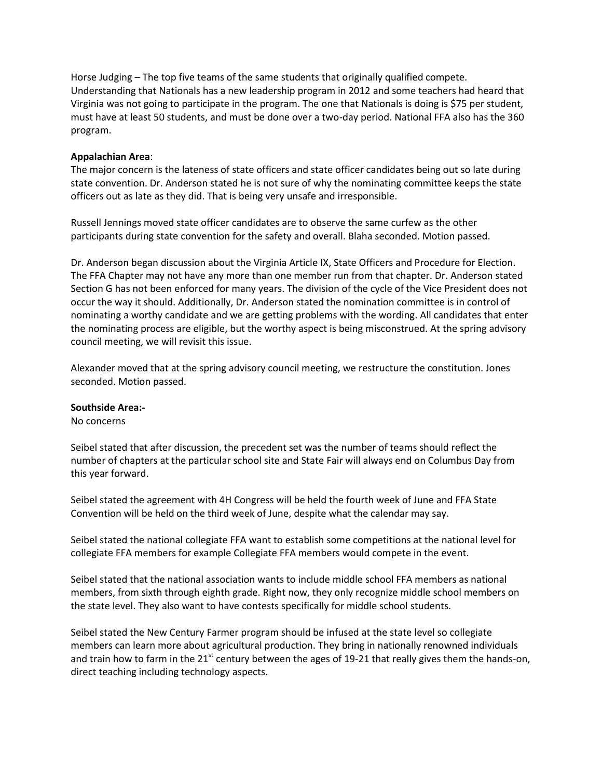Horse Judging – The top five teams of the same students that originally qualified compete. Understanding that Nationals has a new leadership program in 2012 and some teachers had heard that Virginia was not going to participate in the program. The one that Nationals is doing is \$75 per student, must have at least 50 students, and must be done over a two-day period. National FFA also has the 360 program.

# **Appalachian Area**:

The major concern is the lateness of state officers and state officer candidates being out so late during state convention. Dr. Anderson stated he is not sure of why the nominating committee keeps the state officers out as late as they did. That is being very unsafe and irresponsible.

Russell Jennings moved state officer candidates are to observe the same curfew as the other participants during state convention for the safety and overall. Blaha seconded. Motion passed.

Dr. Anderson began discussion about the Virginia Article IX, State Officers and Procedure for Election. The FFA Chapter may not have any more than one member run from that chapter. Dr. Anderson stated Section G has not been enforced for many years. The division of the cycle of the Vice President does not occur the way it should. Additionally, Dr. Anderson stated the nomination committee is in control of nominating a worthy candidate and we are getting problems with the wording. All candidates that enter the nominating process are eligible, but the worthy aspect is being misconstrued. At the spring advisory council meeting, we will revisit this issue.

Alexander moved that at the spring advisory council meeting, we restructure the constitution. Jones seconded. Motion passed.

### **Southside Area:-**

### No concerns

Seibel stated that after discussion, the precedent set was the number of teams should reflect the number of chapters at the particular school site and State Fair will always end on Columbus Day from this year forward.

Seibel stated the agreement with 4H Congress will be held the fourth week of June and FFA State Convention will be held on the third week of June, despite what the calendar may say.

Seibel stated the national collegiate FFA want to establish some competitions at the national level for collegiate FFA members for example Collegiate FFA members would compete in the event.

Seibel stated that the national association wants to include middle school FFA members as national members, from sixth through eighth grade. Right now, they only recognize middle school members on the state level. They also want to have contests specifically for middle school students.

Seibel stated the New Century Farmer program should be infused at the state level so collegiate members can learn more about agricultural production. They bring in nationally renowned individuals and train how to farm in the 21<sup>st</sup> century between the ages of 19-21 that really gives them the hands-on, direct teaching including technology aspects.